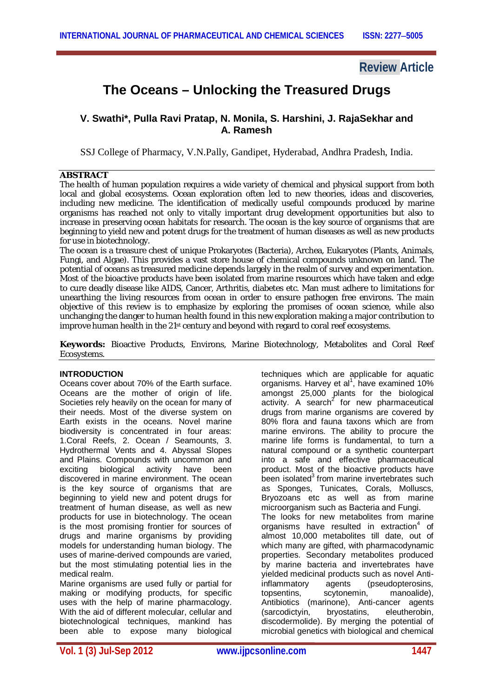# **Review Article**

# **The Oceans – Unlocking the Treasured Drugs**

# **V. Swathi\*, Pulla Ravi Pratap, N. Monila, S. Harshini, J. RajaSekhar and A. Ramesh**

SSJ College of Pharmacy, V.N.Pally, Gandipet, Hyderabad, Andhra Pradesh, India.

#### **ABSTRACT**

The health of human population requires a wide variety of chemical and physical support from both local and global ecosystems. Ocean exploration often led to new theories, ideas and discoveries, including new medicine. The identification of medically useful compounds produced by marine organisms has reached not only to vitally important drug development opportunities but also to increase in preserving ocean habitats for research. The ocean is the key source of organisms that are beginning to yield new and potent drugs for the treatment of human diseases as well as new products for use in biotechnology.

The ocean is a treasure chest of unique Prokaryotes (Bacteria), Archea, Eukaryotes (Plants, Animals, Fungi, and Algae). This provides a vast store house of chemical compounds unknown on land. The potential of oceans as treasured medicine depends largely in the realm of survey and experimentation. Most of the bioactive products have been isolated from marine resources which have taken and edge to cure deadly disease like AIDS, Cancer, Arthritis, diabetes etc. Man must adhere to limitations for unearthing the living resources from ocean in order to ensure pathogen free environs. The main objective of this review is to emphasize by exploring the promises of ocean science, while also unchanging the danger to human health found in this new exploration making a major contribution to improve human health in the 21<sup>st</sup> century and beyond with regard to coral reef ecosystems.

**Keywords:** Bioactive Products, Environs, Marine Biotechnology, Metabolites and Coral Reef Ecosystems.

#### **INTRODUCTION**

Oceans cover about 70% of the Earth surface. Oceans are the mother of origin of life. Societies rely heavily on the ocean for many of their needs. Most of the diverse system on Earth exists in the oceans. Novel marine biodiversity is concentrated in four areas: 1.Coral Reefs, 2. Ocean / Seamounts, 3. Hydrothermal Vents and 4. Abyssal Slopes and Plains. Compounds with uncommon and exciting biological activity have been discovered in marine environment. The ocean is the key source of organisms that are beginning to yield new and potent drugs for treatment of human disease, as well as new products for use in biotechnology. The ocean is the most promising frontier for sources of drugs and marine organisms by providing models for understanding human biology. The uses of marine-derived compounds are varied, but the most stimulating potential lies in the medical realm.

Marine organisms are used fully or partial for making or modifying products, for specific uses with the help of marine pharmacology. With the aid of different molecular, cellular and biotechnological techniques, mankind has been able to expose many biological

techniques which are applicable for aquatic organisms. Harvey et al<sup>1</sup>, have examined 10% amongst 25,000 plants for the biological activity. A search<sup>2</sup> for new pharmaceutical drugs from marine organisms are covered by 80% flora and fauna taxons which are from marine environs. The ability to procure the marine life forms is fundamental, to turn a natural compound or a synthetic counterpart into a safe and effective pharmaceutical product. Most of the bioactive products have been isolated $3$  from marine invertebrates such as Sponges, Tunicates, Corals, Molluscs, Bryozoans etc as well as from marine microorganism such as Bacteria and Fungi. The looks for new metabolites from marine organisms have resulted in extraction $4$  of almost 10,000 metabolites till date, out of which many are gifted, with pharmacodynamic properties. Secondary metabolites produced by marine bacteria and invertebrates have yielded medicinal products such as novel Anti-<br>inflammatory agents (pseudopterosins. inflammatory agents (pseudopterosins,<br>topsentins, scytonemin, manoalide), scytonemin. Antibiotics (marinone), Anti-cancer agents<br>(sarcodictyin, bryostatins, eleutherobin, (sarcodictyin, bryostatins, eleutherobin, discodermolide). By merging the potential of microbial genetics with biological and chemical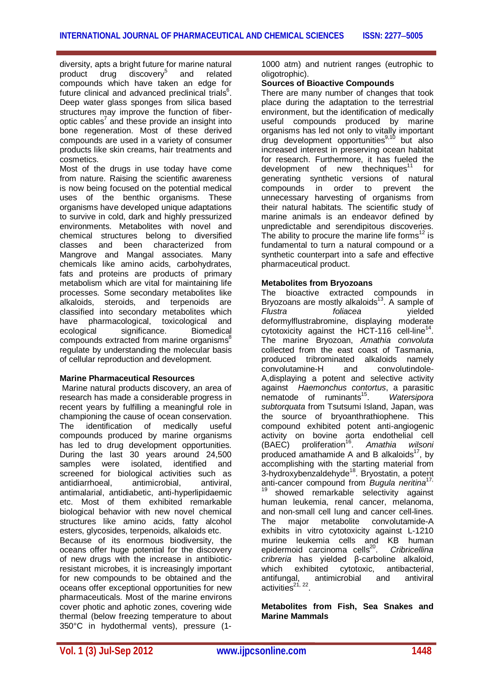diversity, apts a bright future for marine natural product drug discovery<sup>5</sup> and related compounds which have taken an edge for future clinical and advanced preclinical trials $6$ . Deep water glass sponges from silica based structures may improve the function of fiberoptic cables<sup>7</sup> and these provide an insight into bone regeneration. Most of these derived compounds are used in a variety of consumer products like skin creams, hair treatments and cosmetics.

Most of the drugs in use today have come from nature. Raising the scientific awareness is now being focused on the potential medical uses of the benthic organisms. These organisms have developed unique adaptations to survive in cold, dark and highly pressurized environments. Metabolites with novel and chemical structures belong to diversified classes and been characterized from Mangrove and Mangal associates. Many chemicals like amino acids, carbohydrates, fats and proteins are products of primary metabolism which are vital for maintaining life processes. Some secondary metabolites like alkaloids, steroids, and terpenoids are classified into secondary metabolites which have pharmacological, toxicological and<br>ecological significance. Biomedical ecological significance. compounds extracted from marine organisms<sup>8</sup> regulate by understanding the molecular basis of cellular reproduction and development.

#### **Marine Pharmaceutical Resources**

Marine natural products discovery, an area of research has made a considerable progress in recent years by fulfilling a meaningful role in championing the cause of ocean conservation. The identification of medically useful compounds produced by marine organisms has led to drug development opportunities. During the last 30 years around 24,500 samples were isolated, identified and screened for biological activities such as antidiarrhoeal, antimicrobial, antiviral, antimalarial, antidiabetic, anti-hyperlipidaemic etc. Most of them exhibited remarkable biological behavior with new novel chemical structures like amino acids, fatty alcohol esters, glycosides, terpenoids, alkaloids etc. Because of its enormous biodiversity, the oceans offer huge potential for the discovery of new drugs with the increase in antibioticresistant microbes, it is increasingly important for new compounds to be obtained and the oceans offer exceptional opportunities for new pharmaceuticals. Most of the marine environs cover photic and aphotic zones, covering wide thermal (below freezing temperature to about 350°C in hydothermal vents), pressure (11000 atm) and nutrient ranges (eutrophic to oligotrophic).

#### **Sources of Bioactive Compounds**

There are many number of changes that took place during the adaptation to the terrestrial environment, but the identification of medically useful compounds produced by marine organisms has led not only to vitally important drug development opportunities<sup>9,10</sup> but also increased interest in preserving ocean habitat for research. Furthermore, it has fueled the development of new thechniques $11$  for generating synthetic versions of natural compounds in order to prevent the unnecessary harvesting of organisms from their natural habitats. The scientific study of marine animals is an endeavor defined by unpredictable and serendipitous discoveries. The ability to procure the marine life forms<sup>12</sup> is fundamental to turn a natural compound or a synthetic counterpart into a safe and effective pharmaceutical product.

#### **Metabolites from Bryozoans**

The bioactive extracted compounds in Bryozoans are mostly alkaloids<sup>13</sup>. A sample of  $Flustra$  follacea vielded *Flustra foliacea* yielded deformylflustrabromine, displaying moderate cytotoxicity against the HCT-116 cell-line<sup>14</sup>. The marine Bryozoan, *Amathia convoluta* collected from the east coast of Tasmania, produced tribrominated alkaloids namely convolutamine-H and convolutindole-A,displaying a potent and selective activity against *Haemonchus contortus*, a parasitic nematode of ruminants $15$ . . *Watersipora subtorquata* from Tsutsumi Island, Japan, was the source of bryoanthrathiophene. This compound exhibited potent anti-angiogenic activity on bovine aorta endothelial cell<br>(BAEC) proliferation<sup>16</sup>. Amathia wilsoni (BAEC) proliferation<sup>16</sup>. Amathia wilsoni produced amathamide A and B alkaloids $17$ , by accomplishing with the starting material from 3-hydroxybenzaldehyde<sup>18</sup>. Bryostatin, a potent anti-cancer compound from *Bugula neritina*17,  $19$  showed remarkable selectivity against human leukemia, renal cancer, melanoma, and non-small cell lung and cancer cell-lines.<br>The maior metabolite convolutamide-A metabolite convolutamide-A exhibits in vitro cytotoxicity against L-1210 murine leukemia cells and KB human epidermoid carcinoma cells $^{20}$ . . *Cribricellina cribreria* has yielded β-carboline alkaloid, which exhibited cytotoxic, antibacterial,<br>antifungal, antimicrobial and antiviral antifungal, antimicrobial and antiviral activities $^{21, 22}$ .

**Metabolites from Fish, Sea Snakes and Marine Mammals**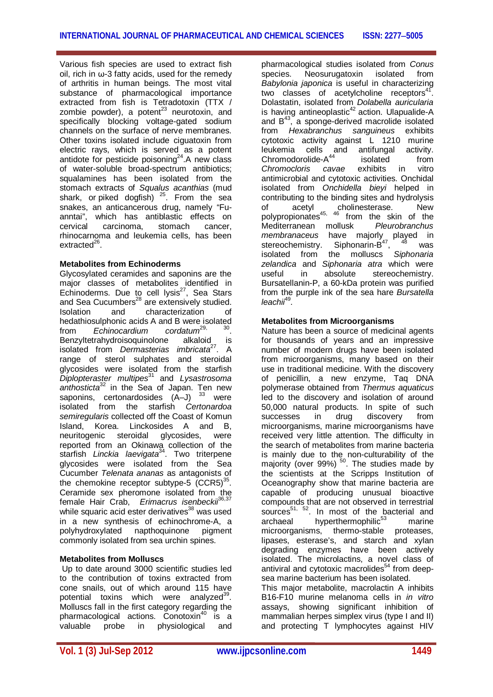Various fish species are used to extract fish oil, rich in  $\omega$ -3 fatty acids, used for the remedy of arthritis in human beings. The most vital substance of pharmacological importance extracted from fish is Tetradotoxin (TTX / zombie powder), a potent $^{23}$  neurotoxin, and specifically blocking voltage-gated sodium channels on the surface of nerve membranes. Other toxins isolated include ciguatoxin from electric rays, which is served as a potent antidote for pesticide poisoning $^{24}$ . A new class of water-soluble broad-spectrum antibiotics; squalamines has been isolated from the stomach extracts of *Squalus acanthias* (mud shark, or piked dogfish)  $25$ . From the sea snakes, an anticancerous drug, namely "Fuanntai", which has antiblastic effects on cervical carcinoma, stomach cancer, rhinocarnoma and leukemia cells, has been extracted<sup>26</sup>.

#### **Metabolites from Echinoderms**

Glycosylated ceramides and saponins are the major classes of metabolites identified in Echinoderms. Due to cell lysis $^{27}$ , Sea Stars and Sea Cucumbers<sup>28</sup> are extensively studied.<br>
Isolation and characterization of Isolation and characterization of hedathiosulphonic acids A and B were isolated<br>from Echinocardium cordatum<sup>29, 30</sup>. from *Echinocardium cordatum*29, 30 . Benzyltetrahydroisoquinolone alkaloid is isolated from *Dermasterias imbricata<sup>27</sup>*. A range of sterol sulphates and steroidal glycosides were isolated from the starfish *Diplopteraster multipes*<sup>31</sup>and *Lysastrosoma anthosticta*<sup>32</sup> in the Sea of Japan. Ten new saponins, certonardosides (A-J) 33 were isolated from the starfish *Certonardoa semiregularis* collected off the Coast of Komun Island, Korea. Linckosides A and B, neuritogenic steroidal glycosides, were reported from an Okinawa collection of the starfish *Linckia laevigata*<sup>34</sup> . Two triterpene glycosides were isolated from the Sea Cucumber *Telenata ananas* as antagonists of the chemokine receptor subtype-5  $(CCR5)^{35}$ . Ceramide sex pheromone isolated from the female Hair Crab, *Erimacrus isenbeckii*36,37 while squaric acid ester derivatives<sup>38</sup> was used in a new synthesis of echinochrome-A, a<br>polyhydroxylated napthoquinone pigment napthoquinone commonly isolated from sea urchin spines.

# **Metabolites from Molluscs**

Up to date around 3000 scientific studies led to the contribution of toxins extracted from cone snails, out of which around 115 have potential toxins which were analyzed<sup>39</sup>. Molluscs fall in the first category regarding the pharmacological actions. Conotoxin<sup>40</sup> is a valuable probe in physiological and

pharmacological studies isolated from *Conus* species. Neosurugatoxin isolated from *Babylonia japonica* is useful in characterizing two classes of acetylcholine receptors $4$ . Dolastatin, isolated from *Dolabella auricularia* is having antineoplastic<sup>42</sup> action. Ulapualide-A and  $B^{43}$ , a sponge-derived macrolide isolated from *Hexabranchus sanguineus* exhibits cytotoxic activity against L 1210 murine leukemia cells and antifungal activity.<br>Chromodorolide-A<sup>44</sup> isolated from Chromodorolide-A<sup>44</sup> isolated<br>exhibits *Chromocloris cavae* exhibits in vitro antimicrobial and cytotoxic activities. Onchidal isolated from *Onchidella bieyi* helped in contributing to the binding sites and hydrolysis<br>of acetyl cholinesterase. New of acetyl cholinesterase. New polypropionates<sup>45, 46</sup> from the skin of the polypropionates<sup>45, 46</sup> from the skin of the<br>Mediterranean mollusk *Pleurobranchus membranaceus* have majorly played in stereochemistry. Siphonarin-B<sup>47</sup>, <sup>48</sup> was isolated from the molluscs *Siphonaria zelandica* and *Siphonaria atra* which were useful in absolute stereochemistry. Bursatellanin-P, a 60-kDa protein was purified from the purple ink of the sea hare *Bursatella leachii*<sup>49</sup> *.*

### **Metabolites from Microorganisms**

Nature has been a source of medicinal agents for thousands of years and an impressive number of modern drugs have been isolated from microorganisms, many based on their use in traditional medicine. With the discovery of penicillin, a new enzyme, Taq DNA polymerase obtained from *Thermus aquaticus* led to the discovery and isolation of around 50,000 natural products. In spite of such successes in drug discovery from microorganisms, marine microorganisms have received very little attention. The difficulty in the search of metabolites from marine bacteria is mainly due to the non-culturability of the majority (over 99%)  $50$ . The studies made by the scientists at the Scripps Institution of Oceanography show that marine bacteria are capable of producing unusual bioactive compounds that are not observed in terrestrial sources $^{51}$ ,  $^{52}$ . In most of the bacterial and<br>archaeal hyperthermophilic<sup>53</sup> marine hyperthermophilic $53$  marine microorganisms, thermo-stable proteases, lipases, esterase's, and starch and xylan degrading enzymes have been actively isolated. The microlactins, a novel class of antiviral and cytotoxic macrolides<sup>54</sup> from deepsea marine bacterium has been isolated.

This major metabolite, macrolactin A inhibits B16-F10 murine melanoma cells in *in vitro* assays, showing significant inhibition of mammalian herpes simplex virus (type I and II) and protecting T lymphocytes against HIV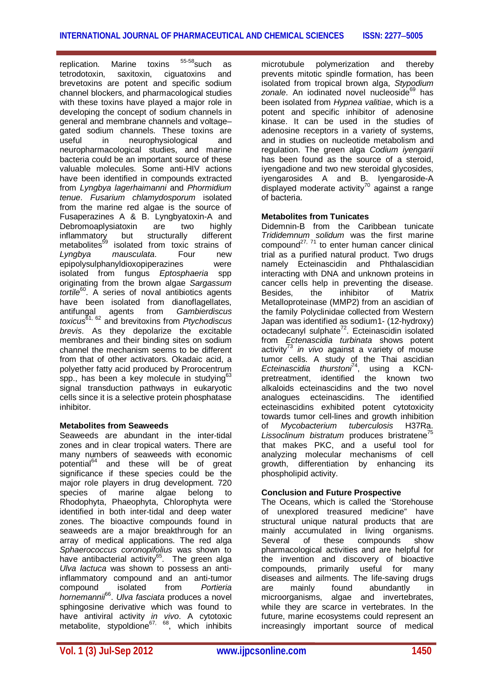replication. Marine toxins  $55-58$ such as tetrodotoxin, saxitoxin, ciguatoxins and brevetoxins are potent and specific sodium channel blockers, and pharmacological studies with these toxins have played a major role in developing the concept of sodium channels in general and membrane channels and voltage– gated sodium channels. These toxins are<br>useful in neurophysiological and neurophysiological and neuropharmacological studies, and marine bacteria could be an important source of these valuable molecules. Some anti-HIV actions have been identified in compounds extracted from *Lyngbya lagerhaimanni* and *Phormidium tenue*. *Fusarium chlamydosporum* isolated from the marine red algae is the source of Fusaperazines A & B. Lyngbyatoxin-A and Debromoaplysiatoxin are two highly<br>
inflammatory but structurally different inflammatory but structurally different metabolites<sup>59</sup> isolated from toxic strains of *Lyngbya mausculata*. Four new epipolysulphanyldioxopiperazines were isolated from fungus *Eptosphaeria* spp originating from the brown algae *Sargassum tortile*<sup>60</sup> . A series of noval antibiotics agents have been isolated from dianoflagellates, antifungal agents from *Gambierdiscus toxicus*61, 62 and brevitoxins from *Ptychodiscus brevis*. As they depolarize the excitable membranes and their binding sites on sodium channel the mechanism seems to be different from that of other activators. Okadaic acid, a polyether fatty acid produced by Prorocentrum spp., has been a key molecule in studying $63$ signal transduction pathways in eukaryotic cells since it is a selective protein phosphatase inhibitor.

# **Metabolites from Seaweeds**

Seaweeds are abundant in the inter-tidal zones and in clear tropical waters. There are many numbers of seaweeds with economic potential<sup>64</sup> and these will be of great significance if these species could be the major role players in drug development. 720 species of marine algae belong to Rhodophyta, Phaeophyta, Chlorophyta were identified in both inter-tidal and deep water zones. The bioactive compounds found in seaweeds are a major breakthrough for an array of medical applications. The red alga *Sphaerococcus coronopifolius* was shown to have antibacterial activity<sup>65</sup>. The green alga *Ulva lactuca* was shown to possess an antiinflammatory compound and an anti-tumor<br>compound isolated from Portieria compound isolated from *Portieria hornemannii*<sup>66</sup> . *Ulva fasciata* produces a novel sphingosine derivative which was found to have antiviral activity *in vivo*. A cytotoxic metabolite, stypoldione<sup>67, 68</sup>, which inhibits microtubule polymerization and thereby prevents mitotic spindle formation, has been isolated from tropical brown alga, *Stypodium* zonale. An iodinated novel nucleoside<sup>69</sup> has been isolated from *Hypnea valitiae*, which is a potent and specific inhibitor of adenosine kinase. It can be used in the studies of adenosine receptors in a variety of systems, and in studies on nucleotide metabolism and regulation. The green alga *Codium iyengarii* has been found as the source of a steroid, iyengadione and two new steroidal glycosides, iyengarosides A and B. Iyengaroside-A  $\frac{1}{2}$  displayed moderate activity<sup>70</sup> against a range of bacteria.

# **Metabolites from Tunicates**

Didemnin-B from the Caribbean tunicate *Trididemnum solidum* was the first marine compound<sup>27, 71</sup> to enter human cancer clinical trial as a purified natural product. Two drugs namely Ecteinascidin and Phthalascidian interacting with DNA and unknown proteins in cancer cells help in preventing the disease. Besides, the inhibitor of Matrix Metalloproteinase (MMP2) from an ascidian of the family Polyclinidae collected from Western Japan was identified as sodium1- (12-hydroxy) octadecanyl sulphate<sup>72</sup>. Ecteinascidin isolated from *Ectenascidia turbinata* shows potent activity<sup>73</sup> in vivo against a variety of mouse tumor cells. A study of the Thai ascidian *Ecteinascidia thurstoni*<sup>74</sup>, using a KCNpretreatment, identified the known two alkaloids ecteinascidins and the two novel analogues ecteinascidins. The identified ecteinascidins exhibited potent cytotoxicity towards tumor cell-lines and growth inhibition of *Mycobacterium tuberculosis* H37Ra. Lissoclinum bistratum produces bristratene<sup>75</sup> that makes PKC, and a useful tool for analyzing molecular mechanisms of cell growth, differentiation by enhancing its phospholipid activity.

# **Conclusion and Future Prospective**

The Oceans, which is called the 'Storehouse of unexplored treasured medicine" have structural unique natural products that are mainly accumulated in living organisms.<br>Several of these compounds show Several of these compounds show pharmacological activities and are helpful for the invention and discovery of bioactive compounds, primarily useful for many diseases and ailments. The life-saving drugs are mainly found abundantly in microorganisms, algae and invertebrates, while they are scarce in vertebrates. In the future, marine ecosystems could represent an increasingly important source of medical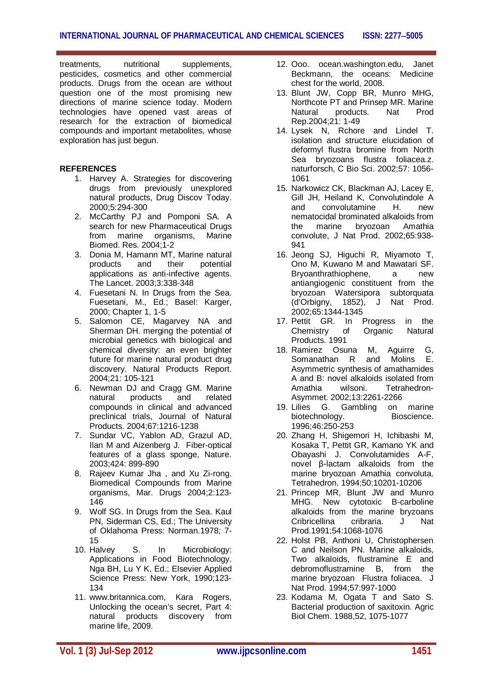treatments, nutritional supplements, pesticides, cosmetics and other commercial products. Drugs from the ocean are without question one of the most promising new directions of marine science today. Modern technologies have opened vast areas of research for the extraction of biomedical compounds and important metabolites, whose exploration has just begun.

#### **REFERENCES**

- 1. Harvey A. Strategies for discovering drugs from previously unexplored natural products, Drug Discov Today. 2000;5:294-300
- 2. McCarthy PJ and Pomponi SA. A search for new Pharmaceutical Drugs from marine organisms, Marine Biomed. Res. 2004;1-2
- 3. Donia M, Hamann MT, Marine natural<br>products and their potential products and their potential applications as anti-infective agents. The Lancet. 2003;3:338-348
- 4. Fuesetani N. In Drugs from the Sea. Fuesetani, M., Ed.; Basel: Karger, 2000; Chapter 1, 1-5
- 5. Salomon CE, Magarvey NA and Sherman DH. merging the potential of microbial genetics with biological and chemical diversity: an even brighter future for marine natural product drug discovery. Natural Products Report. 2004;21: 105-121
- 6. Newman DJ and Cragg GM. Marine natural products and related compounds in clinical and advanced preclinical trials, Journal of Natural Products. 2004;67:1216-1238
- 7. Sundar VC, Yablon AD, Grazul AD, Ilan M and Aizenberg J. Fiber-optical features of a glass sponge, Nature. 2003;424: 899-890
- 8. Rajeev Kumar Jha , and Xu Zi-rong. Biomedical Compounds from Marine organisms, Mar. Drugs 2004;2:123- 146
- 9. Wolf SG. In Drugs from the Sea. Kaul PN, Siderman CS, Ed.; The University of Oklahoma Press: Norman.1978; 7- 15
- 10. Halvey S. In Microbiology: Applications in Food Biotechnology. Nga BH, Lu Y K, Ed.; Elsevier Applied Science Press: New York, 1990;123- 134
- 11. www.britannica.com, Kara Rogers, Unlocking the ocean's secret, Part 4: natural products discovery from marine life, 2009.
- 12. Ooo. ocean.washington.edu, Janet Beckmann, the oceans: Medicine chest for the world, 2008.
- 13. Blunt JW, Copp BR, Munro MHG, Northcote PT and Prinsep MR. Marine Natural products. Nat Prod Rep.2004;21: 1-49
- 14. Lysek N, Rchore and Lindel T. isolation and structure elucidation of deformyl flustra bromine from North Sea bryozoans flustra foliacea.z. naturforsch, C Bio Sci. 2002;57: 1056- 1061
- 15. Narkowicz CK, Blackman AJ, Lacey E, Gill JH, Heiland K, Convolutindole A<br>and convolutamine H new convolutamine H. new nematocidal brominated alkaloids from the marine bryozoan Amathia convolute, J Nat Prod. 2002;65:938- 941
- 16. Jeong SJ, Higuchi R, Miyamoto T, Ono M, Kuwano M and Mawatari SF. Bryoanthrathiophene, a new antiangiogenic constituent from the bryozoan Watersipora subtorquata (d'Orbigny, 1852), J Nat Prod. 2002;65:1344-1345
- 17. Pettit GR. In Progress in the<br>Chemistry of Organic Natural Chemistry of Products. 1991
- 18. Ramirez Osuna M, Aguirre G, Somanathan R and Molins E. Asymmetric synthesis of amathamides A and B: novel alkaloids isolated from Amathia wilsoni. Tetrahedron-Asymmet. 2002;13:2261-2266
- 19. Lilies G. Gambling on marine biotechnology. Bioscience. 1996;46:250-253
- 20. Zhang H, Shigemori H, Ichibashi M, Kosaka T, Pettit GR, Kamano YK and Obayashi J. Convolutamides A-F, novel β-lactam alkaloids from the marine bryozoan Amathia convoluta. Tetrahedron. 1994;50:10201-10206
- 21. Princep MR, Blunt JW and Munro MHG. New cytotoxic B-carboline alkaloids from the marine bryzoans<br>Cribricellina cribraria. J Nat Cribricellina Prod.1991;54:1068-1076
- 22. Holst PB, Anthoni U, Christophersen C and Neilson PN. Marine alkaloids, Two alkaloids, flustramine E and debromoflustramine B, from the marine bryozoan Flustra foliacea. J Nat Prod. 1994;57:997-1000
- 23. Kodama M, Ogata T and Sato S. Bacterial production of saxitoxin. Agric Biol Chem. 1988,52, 1075-1077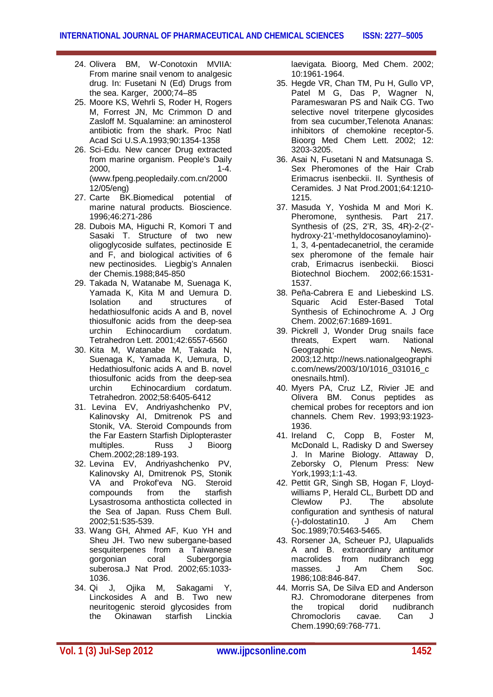- 24. Olivera BM, W-Conotoxin MVIIA: From marine snail venom to analgesic drug. In: Fusetani N (Ed) Drugs from the sea. Karger, 2000;74–85
- 25. Moore KS, Wehrli S, Roder H, Rogers M, Forrest JN, Mc Crimmon D and Zasloff M. Squalamine: an aminosterol antibiotic from the shark. Proc Natl Acad Sci U.S.A.1993;90:1354-1358
- 26. Sci-Edu. New cancer Drug extracted from marine organism. People's Daily 2000, 1-4. (www.fpeng.peopledaily.com.cn/2000 12/05/eng)
- 27. Carte BK.Biomedical potential of marine natural products. Bioscience. 1996;46:271-286
- 28. Dubois MA, Higuchi R, Komori T and Sasaki T. Structure of two new oligoglycoside sulfates, pectinoside E and F, and biological activities of 6 new pectinosides. Liegbig's Annalen der Chemis.1988;845-850
- 29. Takada N, Watanabe M, Suenaga K, Yamada K, Kita M and Uemura D. Isolation and structures of hedathiosulfonic acids A and B, novel thiosulfonic acids from the deep-sea<br>urchin Echinocardium cordatum. Echinocardium Tetrahedron Lett. 2001;42:6557-6560
- 30. Kita M, Watanabe M, Takada N, Suenaga K, Yamada K, Uemura, D, Hedathiosulfonic acids A and B. novel thiosulfonic acids from the deep-sea urchin Echinocardium cordatum. Tetrahedron. 2002;58:6405-6412
- 31. Levina EV, Andriyashchenko PV, Kalinovsky AI, Dmitrenok PS and Stonik, VA. Steroid Compounds from the Far Eastern Starfish Diplopteraster<br>multiples. Russ J Bioorg multiples. Russ J Chem.2002;28:189-193.
- 32. Levina EV, Andriyashchenko PV, Kalinovsky AI, Dmitrenok PS, Stonik VA and Prokof'eva NG. Steroid<br>compounds from the starfish compounds Lysastrosoma anthosticta collected in the Sea of Japan. Russ Chem Bull. 2002;51:535-539.
- 33. Wang GH, Ahmed AF, Kuo YH and Sheu JH. Two new subergane-based sesquiterpenes from a Taiwanese gorgonian coral Subergorgia suberosa.J Nat Prod. 2002;65:1033- 1036.
- 34. Qi J, Ojika M, Sakagami Y, Linckosides A and B. Two new neuritogenic steroid glycosides from the Okinawan starfish Linckia

laevigata. Bioorg, Med Chem. 2002; 10:1961-1964.

- 35. Hegde VR, Chan TM, Pu H, Gullo VP, Patel M G, Das P, Wagner N, Parameswaran PS and Naik CG. Two selective novel triterpene glycosides from sea cucumber,Telenota Ananas: inhibitors of chemokine receptor-5. Bioorg Med Chem Lett. 2002; 12: 3203-3205.
- 36. Asai N, Fusetani N and Matsunaga S. Sex Pheromones of the Hair Crab Erimacrus isenbeckii. II. Synthesis of Ceramides. J Nat Prod.2001;64:1210- 1215.
- 37. Masuda Y, Yoshida M and Mori K. Pheromone, synthesis. Part 217. Synthesis of (2S, 2'R, 3S, 4R)-2-(2' hydroxy-21'-methyldocosanoylamino)- 1, 3, 4-pentadecanetriol, the ceramide sex pheromone of the female hair crab, Erimacrus isenbeckii. Biosci Biotechnol Biochem. 2002;66:1531- 1537.
- 38. Peña-Cabrera E and Liebeskind LS. Squaric Acid Ester-Based Total Synthesis of Echinochrome A. J Org Chem. 2002;67:1689-1691.
- 39. Pickrell J, Wonder Drug snails face<br>threats, Expert warn. National Expert warn. National<br>c News. Geographic 2003;12.http://news.nationalgeographi c.com/news/2003/10/1016\_031016\_c onesnails.html).
- 40. Myers PA, Cruz LZ, Rivier JE and Olivera BM. Conus peptides as chemical probes for receptors and ion channels. Chem Rev. 1993;93:1923- 1936.
- 41. Ireland C, Copp B, Foster M, McDonald L, Radisky D and Swersey J. In Marine Biology. Attaway D, Zeborsky O, Plenum Press: New York,1993;1:1-43.
- 42. Pettit GR, Singh SB, Hogan F, Lloydwilliams P, Herald CL, Burbett DD and<br>Clewlow PJ. The absolute Clewlow PJ. The absolute configuration and synthesis of natural<br>(-)-dolostatin10. J Am Chem  $(-)$ -dolostatin10. J Soc.1989;70:5463-5465.
- 43. Rorsener JA, Scheuer PJ, Ulapualids A and B. extraordinary antitumor macrolides from nudibranch egg masses. J Am Chem Soc. 1986;108:846-847.
- 44. Morris SA, De Silva ED and Anderson RJ. Chromodorane diterpenes from<br>the tropical dorid nudibranch the tropical dorid nudibranch Chromocloris cavae. Can J Chem.1990;69:768-771.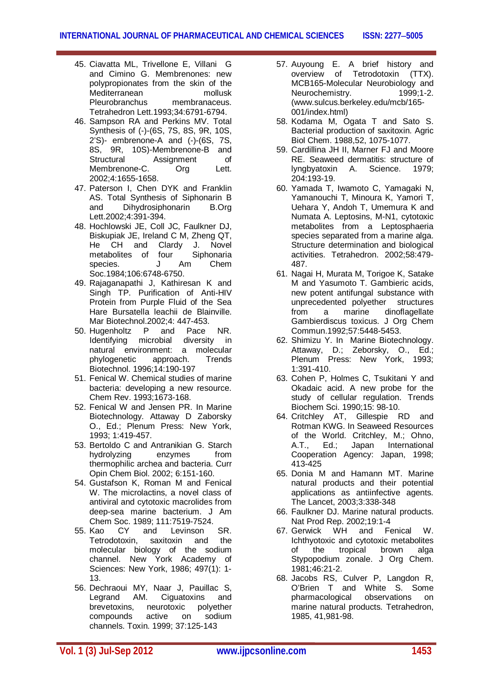- 45. Ciavatta ML, Trivellone E, Villani G and Cimino G. Membrenones: new polypropionates from the skin of the Mediterranean mollusk Pleurobranchus membranaceus. Tetrahedron Lett.1993;34:6791-6794.
- 46. Sampson RA and Perkins MV. Total Synthesis of (-)-(6S, 7S, 8S, 9R, 10S, 2'S)- embrenone-A and (-)-(6S, 7S, 8S, 9R, 10S)-Membrenone-B and<br>Structural Assignment of Structural Assignment Membrenone-C. Org Lett. 2002;4:1655-1658.
- 47. Paterson I, Chen DYK and Franklin AS. Total Synthesis of Siphonarin B and Dihydrosiphonarin B.Org Lett.2002;4:391-394.
- 48. Hochlowski JE, Coll JC, Faulkner DJ, Biskupiak JE, Ireland C M, Zheng QT, He CH and Clardy J. Novel metabolites of four Siphonaria species. J Am Chem Soc.1984;106:6748-6750.
- 49. Rajaganapathi J, Kathiresan K and Singh TP. Purification of Anti-HIV Protein from Purple Fluid of the Sea Hare Bursatella leachii de Blainville. Mar Biotechnol.2002;4: 447-453.
- 50. Hugenholtz P and Pace NR. Identifying microbial diversity in natural environment: a molecular phylogenetic approach. Trends Biotechnol. 1996;14:190-197
- 51. Fenical W. Chemical studies of marine bacteria: developing a new resource. Chem Rev. 1993;1673-168.
- 52. Fenical W and Jensen PR. In Marine Biotechnology. Attaway D Zaborsky O., Ed.; Plenum Press: New York, 1993; 1:419-457.
- 53. Bertoldo C and Antranikian G. Starch hydrolyzing enzymes from thermophilic archea and bacteria. Curr Opin Chem Biol. 2002; 6:151-160.
- 54. Gustafson K, Roman M and Fenical W. The microlactins, a novel class of antiviral and cytotoxic macrolides from deep-sea marine bacterium. J Am Chem Soc. 1989; 111:7519-7524.<br>55. Kao CY and Levinson
- CY and Levinson SR. Tetrodotoxin, saxitoxin and the molecular biology of the sodium channel. New York Academy of Sciences: New York, 1986; 497(1): 1- 13.
- 56. Dechraoui MY, Naar J, Pauillac S, Legrand AM. Ciguatoxins and<br>brevetoxins, neurotoxic polyether brevetoxins, neurotoxic polyether compounds active on sodium channels. Toxin. 1999; 37:125-143
- 57. Auyoung E. A brief history and overview of Tetrodotoxin (TTX). MCB165-Molecular Neurobiology and Neurochemistry. 1999;1-2. (www.sulcus.berkeley.edu/mcb/165- 001/index.html)
- 58. Kodama M, Ogata T and Sato S. Bacterial production of saxitoxin. Agric Biol Chem. 1988,52, 1075-1077.
- 59. Cardillina JH II, Marner FJ and Moore RE. Seaweed dermatitis: structure of lyngbyatoxin A. Science. 1979; 204:193-19.
- 60. Yamada T, Iwamoto C, Yamagaki N, Yamanouchi T, Minoura K, Yamori T, Uehara Y, Andoh T, Umemura K and Numata A. Leptosins, M-N1, cytotoxic metabolites from a Leptosphaeria species separated from a marine alga. Structure determination and biological activities. Tetrahedron. 2002;58:479- 487.
- 61. Nagai H, Murata M, Torigoe K, Satake M and Yasumoto T. Gambieric acids, new potent antifungal substance with unprecedented polyether structures<br>from a marine dinoflagellate from a marine dinoflagellate Gambierdiscus toxicus. J Org Chem Commun.1992;57:5448-5453.
- 62. Shimizu Y. In Marine Biotechnology. Attaway, D.; Zeborsky, O., Ed.; Plenum Press: New York, 1993; 1:391-410.
- 63. Cohen P, Holmes C, Tsukitani Y and Okadaic acid. A new probe for the study of cellular regulation. Trends Biochem Sci. 1990;15: 98-10.
- 64. Critchley AT, Gillespie RD and Rotman KWG. In Seaweed Resources of the World. Critchley, M.; Ohno, A.T., Ed.; Japan International Cooperation Agency: Japan, 1998; 413-425
- 65. Donia M and Hamann MT. Marine natural products and their potential applications as antiinfective agents. The Lancet, 2003;3:338-348
- 66. Faulkner DJ. Marine natural products. Nat Prod Rep. 2002;19:1-4<br>Gerwick WH and Fe
- 67. Gerwick WH and Fenical W. Ichthyotoxic and cytotoxic metabolites of the tropical brown alga Stypopodium zonale. J Org Chem. 1981;46:21-2.
- 68. Jacobs RS, Culver P, Langdon R, O'Brien T and White S. Some pharmacological observations on marine natural products. Tetrahedron, 1985, 41,981-98.